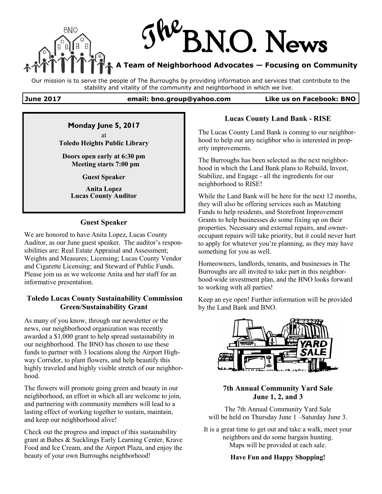

Our mission is to serve the people of The Burroughs by providing information and services that contribute to the stability and vitality of the community and neighborhood in which we live.

#### **June 2017 email: bno.group@yahoo.com Like us on Facebook: BNO**

## **Monday June 5, 2017**

at **Toledo Heights Public Library**

**Doors open early at 6:30 pm Meeting starts 7:00 pm**

**Guest Speaker**

**Anita Lopez Lucas County Auditor**

#### **Guest Speaker**

We are honored to have Anita Lopez, Lucas County Auditor, as our June guest speaker. The auditor's responsibilities are: Real Estate Appraisal and Assessment; Weights and Measures; Licensing; Lucas County Vendor and Cigarette Licensing; and Steward of Public Funds. Please join us as we welcome Anita and her staff for an informative presentation.

#### **Toledo Lucas County Sustainability Commission Green/Sustainability Grant**

As many of you know, through our newsletter or the news, our neighborhood organization was recently awarded a \$1,000 grant to help spread sustainability in our neighborhood. The BNO has chosen to use these funds to partner with 3 locations along the Airport Highway Corridor, to plant flowers, and help beautify this highly traveled and highly visible stretch of our neighborhood.

The flowers will promote going green and beauty in our neighborhood, an effort in which all are welcome to join, and partnering with community members will lead to a lasting effect of working together to sustain, maintain, and keep our neighborhood alive!

Check out the progress and impact of this sustainability grant at Babes & Sucklings Early Learning Center, Krave Food and Ice Cream, and the Airport Plaza, and enjoy the beauty of your own Burroughs neighborhood!

### **Lucas County Land Bank - RISE**

The Lucas County Land Bank is coming to our neighborhood to help out any neighbor who is interested in property improvements.

The Burroughs has been selected as the next neighborhood in which the Land Bank plans to Rebuild, Invest, Stabilize, and Engage - all the ingredients for our neighborhood to RISE!

While the Land Bank will be here for the next 12 months, they will also be offering services such as Matching Funds to help residents, and Storefront Improvement Grants to help businesses do some fixing up on their properties. Necessary and external repairs, and owneroccupant repairs will take priority, but it could never hurt to apply for whatever you're planning, as they may have something for you as well.

Homeowners, landlords, tenants, and businesses in The Burroughs are all invited to take part in this neighborhood-wide investment plan, and the BNO looks forward to working with all parties!

Keep an eye open! Further information will be provided by the Land Bank and BNO.



### **7th Annual Community Yard Sale June 1, 2, and 3**

The 7th Annual Community Yard Sale will be held on Thursday June 1 – Saturday June 3.

It is a great time to get out and take a walk, meet your neighbors and do some bargain hunting. Maps will be provided at each sale.

**Have Fun and Happy Shopping!**